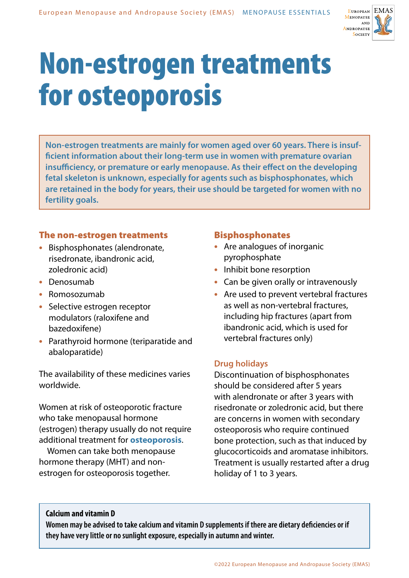

# Non-estrogen treatments for osteoporosis

**Non-estrogen treatments are mainly for women aged over 60 years. There is insufficient information about their long-term use in women with premature ovarian insufficiency, or premature or early menopause. As their effect on the developing fetal skeleton is unknown, especially for agents such as bisphosphonates, which are retained in the body for years, their use should be targeted for women with no fertility goals.**

# The non-estrogen treatments

- **•** Bisphosphonates (alendronate, risedronate, ibandronic acid, zoledronic acid)
- **•** Denosumab
- **•** Romosozumab
- **•** Selective estrogen receptor modulators (raloxifene and bazedoxifene)
- **•** Parathyroid hormone (teriparatide and abaloparatide)

The availability of these medicines varies worldwide.

Women at risk of osteoporotic fracture who take menopausal hormone (estrogen) therapy usually do not require additional treatment for **osteoporosis**.

Women can take both menopause hormone therapy (MHT) and nonestrogen for osteoporosis together.

# Bisphosphonates

- **•** Are analogues of inorganic pyrophosphate
- **•** Inhibit bone resorption
- **•** Can be given orally or intravenously
- **•** Are used to prevent vertebral fractures as well as non-vertebral fractures, including hip fractures (apart from ibandronic acid, which is used for vertebral fractures only)

# **Drug holidays**

Discontinuation of bisphosphonates should be considered after 5 years with alendronate or after 3 years with risedronate or zoledronic acid, but there are concerns in women with secondary osteoporosis who require continued bone protection, such as that induced by glucocorticoids and aromatase inhibitors. Treatment is usually restarted after a drug holiday of 1 to 3 years.

#### **Calcium and vitamin D**

**Women may be advised to take calcium and vitamin D supplements if there are dietary deficiencies or if they have very little or no sunlight exposure, especially in autumn and winter.**